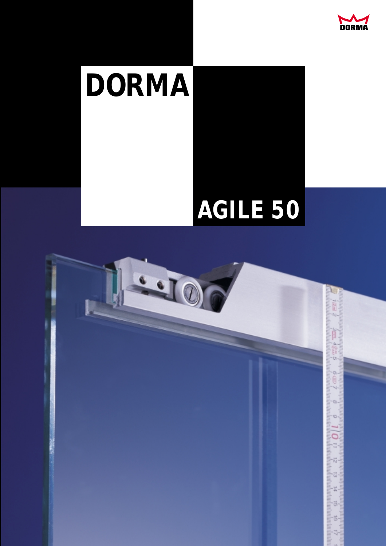

# **DORMA**

## **AGILE 50**

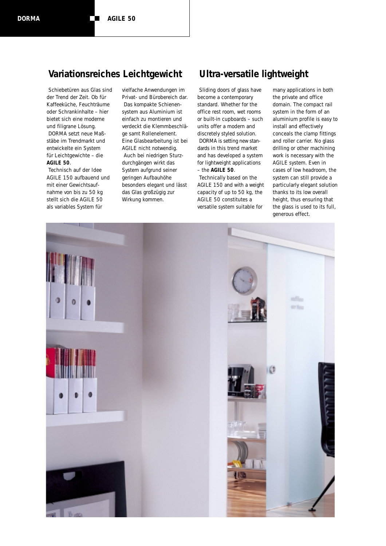### **Variationsreiches Leichtgewicht Ultra-versatile lightweight**

Schiebetüren aus Glas sind der Trend der Zeit. Ob für Kaffeeküche, Feuchträume oder Schrankinhalte – hier bietet sich eine moderne und filigrane Lösung. DORMA setzt neue Maßstäbe im Trendmarkt und entwickelte ein System für Leichtgewichte – die **AGILE 50**.

Technisch auf der Idee AGILE 150 aufbauend und mit einer Gewichtsaufnahme von bis zu 50 kg stellt sich die AGILE 50 als variables System für

vielfache Anwendungen im Privat- und Bürobereich dar. Das kompakte Schienensystem aus Aluminium ist einfach zu montieren und verdeckt die Klemmbeschläge samt Rollenelement. Eine Glasbearbeitung ist bei AGILE nicht notwendig. Auch bei niedrigen Sturzdurchgängen wirkt das System aufgrund seiner geringen Aufbauhöhe besonders elegant und lässt das Glas großzügig zur Wirkung kommen.

Sliding doors of glass have become a contemporary standard. Whether for the office rest room, wet rooms or built-in cupboards – such units offer a modern and discretely styled solution. DORMA is setting new standards in this trend market and has developed a system for lightweight applications – the **AGILE 50**.

Technically based on the AGILE 150 and with a weight capacity of up to 50 kg, the AGILE 50 constitutes a versatile system suitable for

many applications in both the private and office domain. The compact rail system in the form of an aluminium profile is easy to install and effectively conceals the clamp fittings and roller carrier. No glass drilling or other machining work is necessary with the AGILE system. Even in cases of low headroom, the system can still provide a particularly elegant solution thanks to its low overall height, thus ensuring that the glass is used to its full, generous effect.

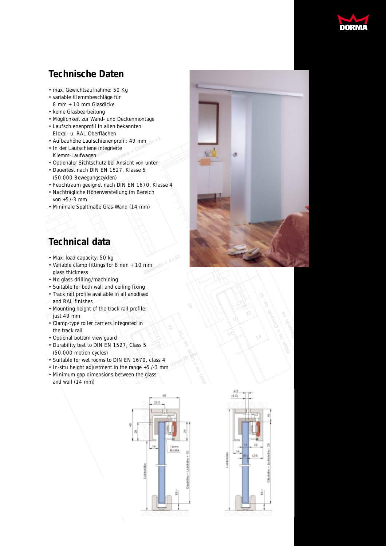

## **Technische Daten**

- max. Gewichtsaufnahme: 50 Kg
- variable Klemmbeschläge für 8 mm + 10 mm Glasdicke
- keine Glasbearbeitung
- Möglichkeit zur Wand- und Deckenmontage
- Laufschienenprofil in allen bekannten Eloxal- u. RAL Oberflächen
- 
- Aufbauhöhe Laufschienenprofil: 49 mm<br>• In der Laufschiene integrierte<br>Klemm-Laufwagen<br>• Optionaler Sichtschutz bei Ansicht von unten • In der Laufschiene integrierte<br>Klemm-Laufwagen<br>• Optionaler Sichtschutz bei Ans<br>• Dauertest nach DIN FN 1527 Klemm-Laufwagen
- Optionaler Sichtschutz bei Ansicht von unten
- Dauertest nach DIN EN 1527, Klasse 5 (50.000 Bewegungszyklen)
- Feuchtraum geeignet nach DIN EN 1670, Klasse 4
- Nachträgliche Höhenverstellung im Bereich von +5/-3 mm
- Minimale Spaltmaße Glas-Wand (14 mm)

## **Technical data**

- Max. load capacity: 50 kg
- $mm_{\text{GLO}}$  and  $=$  A+60 • Variable clamp fittings for 8 mm + 10 mm glass thickness
- No glass drilling/machining
- Suitable for both wall and ceiling fixing
- Track rail profile available in all anodised
- and RAL finishes
- Mounting height of the track rail profile:
- just 49 mm
- Clamp-type roller carriers integrated in the track rail
- Optional bottom view guard
- Durability test to DIN EN 1527, Class 5 (50,000 motion cycles)
- Suitable for wet rooms to DIN EN 1670, class 4
- In-situ height adjustment in the range +5/-3 mm
- Minimum gap dimensions between the glass and wall (14 mm)



2

 $\widetilde{\mathscr{E}}_{\mathsf{S}}$ 

G al sh

 $\frac{1}{\sqrt{2}}$ 

 $\mathcal{F}$ 

10mm PB



22

14

10

Cesor

**Ceear**